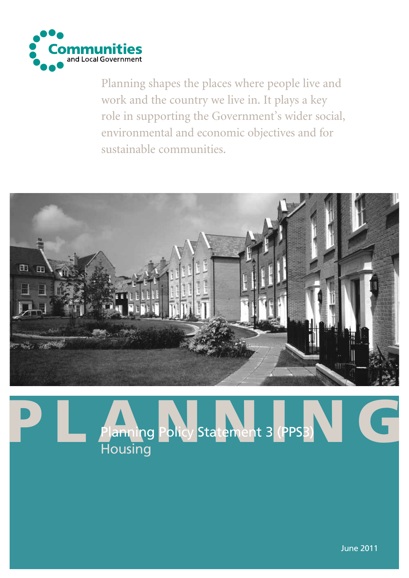

Planning shapes the places where people live and work and the country we live in. It plays a key role in supporting the Government's wider social, environmental and economic objectives and for sustainable communities.



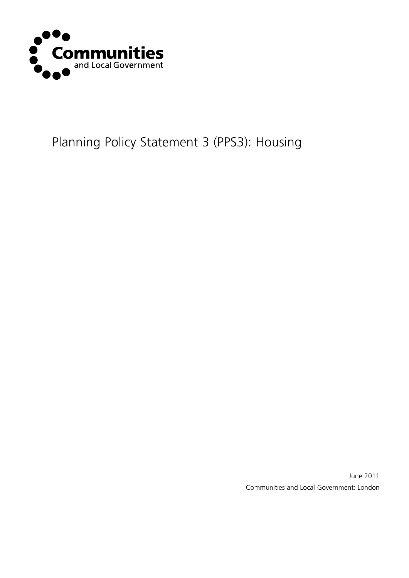

# Planning Policy Statement 3 (PPS3): Housing

June 2011 Communities and Local Government: London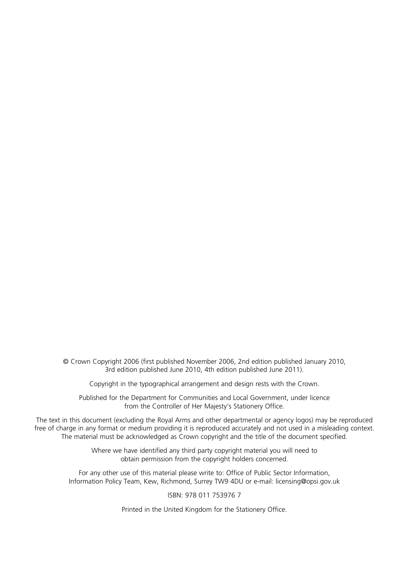© Crown Copyright 2006 (first published November 2006, 2nd edition published January 2010, 3rd edition published June 2010, 4th edition published June 2011).

Copyright in the typographical arrangement and design rests with the Crown.

Published for the Department for Communities and Local Government, under licence from the Controller of Her Majesty's Stationery Office.

The text in this document (excluding the Royal Arms and other departmental or agency logos) may be reproduced free of charge in any format or medium providing it is reproduced accurately and not used in a misleading context. The material must be acknowledged as Crown copyright and the title of the document specified.

> Where we have identified any third party copyright material you will need to obtain permission from the copyright holders concerned.

For any other use of this material please write to: Office of Public Sector Information, Information Policy Team, Kew, Richmond, Surrey TW9 4DU or e-mail: licensing@opsi.gov.uk

ISBN: 978 011 753976 7

Printed in the United Kingdom for the Stationery Office.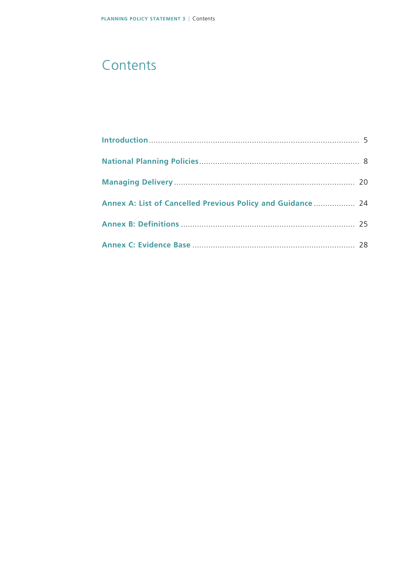# **Contents**

| Annex A: List of Cancelled Previous Policy and Guidance  24 |  |
|-------------------------------------------------------------|--|
|                                                             |  |
|                                                             |  |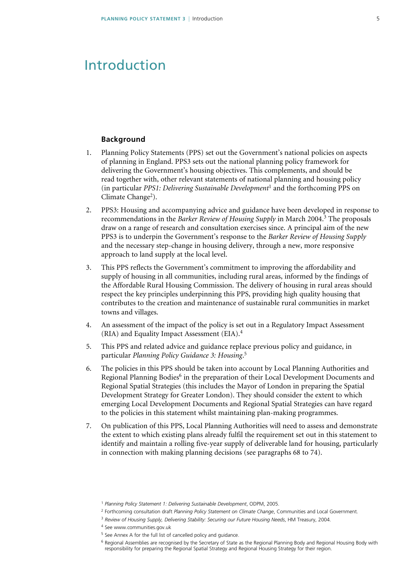### <span id="page-4-0"></span>Introduction

### **Background**

- 1. Planning Policy Statements (PPS) set out the Government's national policies on aspects of planning in England. PPS3 sets out the national planning policy framework for delivering the Government's housing objectives. This complements, and should be read together with, other relevant statements of national planning and housing policy (in particular *PPS1: Delivering Sustainable Development*1 and the forthcoming PPS on Climate Change<sup>2</sup>).
- 2. PPS3: Housing and accompanying advice and guidance have been developed in response to recommendations in the *Barker Review of Housing Supply* in March 2004.3 The proposals draw on a range of research and consultation exercises since. A principal aim of the new PPS3 is to underpin the Government's response to the *Barker Review of Housing Supply* and the necessary step-change in housing delivery, through a new, more responsive approach to land supply at the local level.
- 3. This PPS reflects the Government's commitment to improving the affordability and supply of housing in all communities, including rural areas, informed by the findings of the Affordable Rural Housing Commission. The delivery of housing in rural areas should respect the key principles underpinning this PPS, providing high quality housing that contributes to the creation and maintenance of sustainable rural communities in market towns and villages.
- 4. An assessment of the impact of the policy is set out in a Regulatory Impact Assessment (RIA) and Equality Impact Assessment (EIA).<sup>4</sup>
- 5. This PPS and related advice and guidance replace previous policy and guidance, in particular *Planning Policy Guidance 3: Housing*. 5
- 6. The policies in this PPS should be taken into account by Local Planning Authorities and Regional Planning Bodies<sup>6</sup> in the preparation of their Local Development Documents and Regional Spatial Strategies (this includes the Mayor of London in preparing the Spatial Development Strategy for Greater London). They should consider the extent to which emerging Local Development Documents and Regional Spatial Strategies can have regard to the policies in this statement whilst maintaining plan-making programmes.
- 7. On publication of this PPS, Local Planning Authorities will need to assess and demonstrate the extent to which existing plans already fulfil the requirement set out in this statement to identify and maintain a rolling five-year supply of deliverable land for housing, particularly in connection with making planning decisions (see paragraphs 68 to 74).

<sup>1</sup> *Planning Policy Statement 1: Delivering Sustainable Development*, ODPM, 2005.

<sup>2</sup> Forthcoming consultation draft *Planning Policy Statement on Climate Change*, Communities and Local Government.

<sup>3</sup> *Review of Housing Supply, Delivering Stability: Securing our Future Housing Needs*, HM Treasury, 2004.

<sup>4</sup> See www.communities.gov.uk

<sup>5</sup> See Annex A for the full list of cancelled policy and guidance.

<sup>6</sup> Regional Assemblies are recognised by the Secretary of State as the Regional Planning Body and Regional Housing Body with responsibility for preparing the Regional Spatial Strategy and Regional Housing Strategy for their region.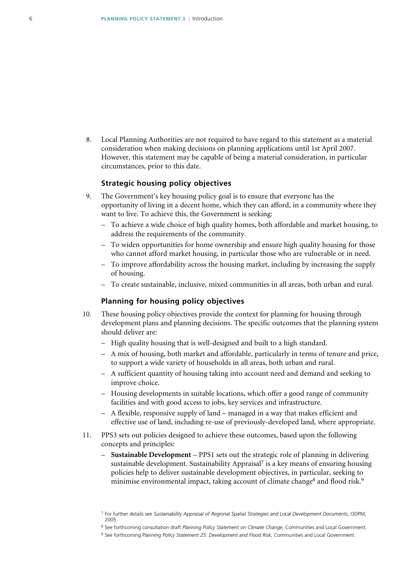8. Local Planning Authorities are not required to have regard to this statement as a material consideration when making decisions on planning applications until 1st April 2007. However, this statement may be capable of being a material consideration, in particular circumstances, prior to this date.

### **Strategic housing policy objectives**

- 9. The Government's key housing policy goal is to ensure that everyone has the opportunity of living in a decent home, which they can afford, in a community where they want to live. To achieve this, the Government is seeking:
	- To achieve a wide choice of high quality homes, both affordable and market housing, to address the requirements of the community.
	- To widen opportunities for home ownership and ensure high quality housing for those who cannot afford market housing, in particular those who are vulnerable or in need.
	- To improve affordability across the housing market, including by increasing the supply of housing.
	- To create sustainable, inclusive, mixed communities in all areas, both urban and rural.

### **Planning for housing policy objectives**

- 10. These housing policy objectives provide the context for planning for housing through development plans and planning decisions. The specific outcomes that the planning system should deliver are:
	- High quality housing that is well-designed and built to a high standard.
	- A mix of housing, both market and affordable, particularly in terms of tenure and price, to support a wide variety of households in all areas, both urban and rural.
	- A sufficient quantity of housing taking into account need and demand and seeking to improve choice.
	- Housing developments in suitable locations, which offer a good range of community facilities and with good access to jobs, key services and infrastructure.
	- A flexible, responsive supply of land managed in a way that makes efficient and effective use of land, including re-use of previously-developed land, where appropriate.
- 11. PPS3 sets out policies designed to achieve these outcomes, based upon the following concepts and principles:
	- **Sustainable Development** PPS1 sets out the strategic role of planning in delivering sustainable development. Sustainability Appraisal<sup>7</sup> is a key means of ensuring housing policies help to deliver sustainable development objectives, in particular, seeking to minimise environmental impact, taking account of climate change<sup>8</sup> and flood risk.<sup>9</sup>

<sup>7</sup> For further details see *Sustainability Appraisal of Regional Spatial Strategies and Local Development Documents*, ODPM, 2005.

<sup>8</sup> See forthcoming consultation draft *Planning Policy Statement on Climate Change*, Communities and Local Government.

<sup>9</sup> See forthcoming P*lanning Policy Statement 25: Development and Flood Risk*, Communities and Local Government.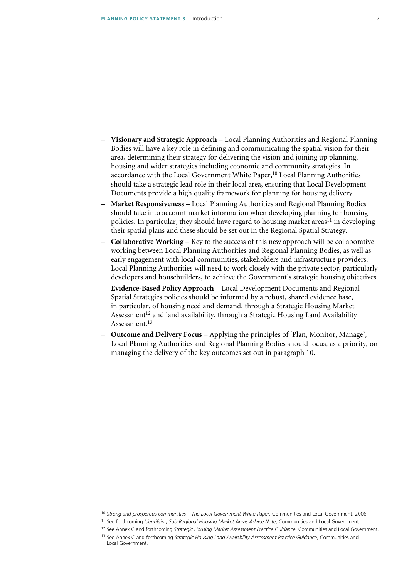- **Visionary and Strategic Approach** Local Planning Authorities and Regional Planning Bodies will have a key role in defining and communicating the spatial vision for their area, determining their strategy for delivering the vision and joining up planning, housing and wider strategies including economic and community strategies. In accordance with the Local Government White Paper,<sup>10</sup> Local Planning Authorities should take a strategic lead role in their local area, ensuring that Local Development Documents provide a high quality framework for planning for housing delivery.
- **Market Responsiveness** Local Planning Authorities and Regional Planning Bodies should take into account market information when developing planning for housing policies. In particular, they should have regard to housing market areas<sup>11</sup> in developing their spatial plans and these should be set out in the Regional Spatial Strategy.
- **Collaborative Working** Key to the success of this new approach will be collaborative working between Local Planning Authorities and Regional Planning Bodies, as well as early engagement with local communities, stakeholders and infrastructure providers. Local Planning Authorities will need to work closely with the private sector, particularly developers and housebuilders, to achieve the Government's strategic housing objectives.
- **Evidence-Based Policy Approach** Local Development Documents and Regional Spatial Strategies policies should be informed by a robust, shared evidence base, in particular, of housing need and demand, through a Strategic Housing Market Assessment<sup>12</sup> and land availability, through a Strategic Housing Land Availability Assessment.13
- **Outcome and Delivery Focus** Applying the principles of 'Plan, Monitor, Manage', Local Planning Authorities and Regional Planning Bodies should focus, as a priority, on managing the delivery of the key outcomes set out in paragraph 10.

<sup>10</sup> *Strong and prosperous communities – The Local Government White Paper*, Communities and Local Government, 2006.

<sup>11</sup> See forthcoming *Identifying Sub-Regional Housing Market Areas Advice Note*, Communities and Local Government.

<sup>12</sup> See Annex C and forthcoming *Strategic Housing Market Assessment Practice Guidance*, Communities and Local Government.

<sup>13</sup> See Annex C and forthcoming *Strategic Housing Land Availability Assessment Practice Guidance*, Communities and Local Government.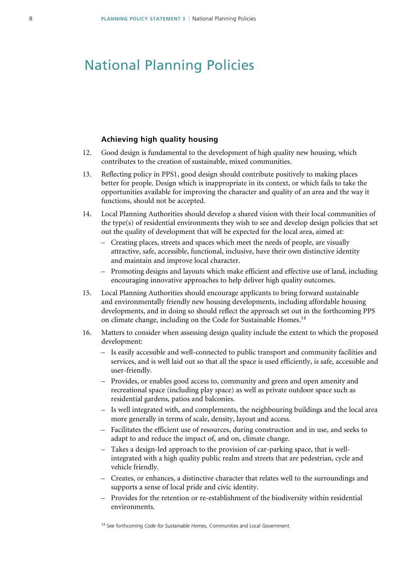### <span id="page-7-0"></span>National Planning Policies

### **Achieving high quality housing**

- 12. Good design is fundamental to the development of high quality new housing, which contributes to the creation of sustainable, mixed communities.
- 13. Reflecting policy in PPS1, good design should contribute positively to making places better for people. Design which is inappropriate in its context, or which fails to take the opportunities available for improving the character and quality of an area and the way it functions, should not be accepted.
- 14. Local Planning Authorities should develop a shared vision with their local communities of the type(s) of residential environments they wish to see and develop design policies that set out the quality of development that will be expected for the local area, aimed at:
	- Creating places, streets and spaces which meet the needs of people, are visually attractive, safe, accessible, functional, inclusive, have their own distinctive identity and maintain and improve local character.
	- Promoting designs and layouts which make efficient and effective use of land, including encouraging innovative approaches to help deliver high quality outcomes.
- 15. Local Planning Authorities should encourage applicants to bring forward sustainable and environmentally friendly new housing developments, including affordable housing developments, and in doing so should reflect the approach set out in the forthcoming PPS on climate change, including on the Code for Sustainable Homes.<sup>14</sup>
- 16. Matters to consider when assessing design quality include the extent to which the proposed development:
	- Is easily accessible and well-connected to public transport and community facilities and services, and is well laid out so that all the space is used efficiently, is safe, accessible and user-friendly.
	- Provides, or enables good access to, community and green and open amenity and recreational space (including play space) as well as private outdoor space such as residential gardens, patios and balconies.
	- Is well integrated with, and complements, the neighbouring buildings and the local area more generally in terms of scale, density, layout and access.
	- Facilitates the efficient use of resources, during construction and in use, and seeks to adapt to and reduce the impact of, and on, climate change.
	- Takes a design-led approach to the provision of car-parking space, that is wellintegrated with a high quality public realm and streets that are pedestrian, cycle and vehicle friendly.
	- Creates, or enhances, a distinctive character that relates well to the surroundings and supports a sense of local pride and civic identity.
	- Provides for the retention or re-establishment of the biodiversity within residential environments.

14 See forthcoming *Code for Sustainable Homes*, Communities and Local Government.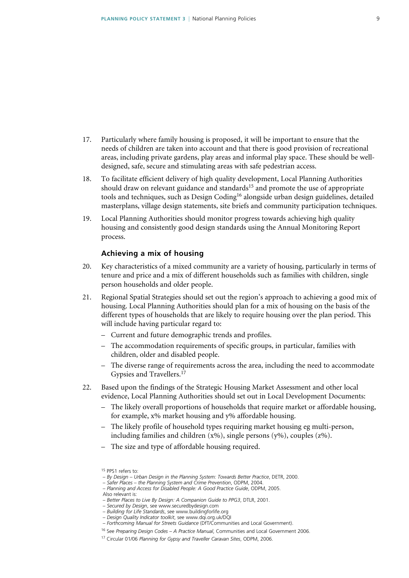- 17. Particularly where family housing is proposed, it will be important to ensure that the needs of children are taken into account and that there is good provision of recreational areas, including private gardens, play areas and informal play space. These should be welldesigned, safe, secure and stimulating areas with safe pedestrian access.
- 18. To facilitate efficient delivery of high quality development, Local Planning Authorities should draw on relevant guidance and standards<sup>15</sup> and promote the use of appropriate tools and techniques, such as Design Coding<sup>16</sup> alongside urban design guidelines, detailed masterplans, village design statements, site briefs and community participation techniques.
- 19. Local Planning Authorities should monitor progress towards achieving high quality housing and consistently good design standards using the Annual Monitoring Report process.

### **Achieving a mix of housing**

- 20. Key characteristics of a mixed community are a variety of housing, particularly in terms of tenure and price and a mix of different households such as families with children, single person households and older people.
- 21. Regional Spatial Strategies should set out the region's approach to achieving a good mix of housing. Local Planning Authorities should plan for a mix of housing on the basis of the different types of households that are likely to require housing over the plan period. This will include having particular regard to:
	- Current and future demographic trends and profiles.
	- The accommodation requirements of specific groups, in particular, families with children, older and disabled people.
	- The diverse range of requirements across the area, including the need to accommodate Gypsies and Travellers.<sup>17</sup>
- 22. Based upon the findings of the Strategic Housing Market Assessment and other local evidence, Local Planning Authorities should set out in Local Development Documents:
	- The likely overall proportions of households that require market or affordable housing, for example, x% market housing and y% affordable housing.
	- The likely profile of household types requiring market housing eg multi-person, including families and children  $(x\%)$ , single persons  $(y\%)$ , couples  $(z\%)$ .
	- The size and type of affordable housing required.

- *Planning and Access for Disabled People: A Good Practice Guide*, ODPM, 2005.
- Also relevant is:
- *Better Places to Live By Design: A Companion Guide to PPG3*, DTLR, 2001.

– *Building for Life Standards*, see www.buildingforlife.org

<sup>15</sup> PPS1 refers to:

 <sup>–</sup> *By Design – Urban Design in the Planning System: Towards Better Practice*, DETR, 2000.

 <sup>–</sup> *Safer Places – the Planning System and Crime Prevention*, ODPM, 2004.

 <sup>–</sup> *Secured by Design*, see www.securedbydesign.com

 <sup>–</sup> *Design Quality Indicator toolkit*, see www.dqi.org.uk/DQI – *Forthcoming Manual for Streets Guidance* (DfT/Communities and Local Government).

<sup>16</sup> See *Preparing Design Codes – A Practice Manual*, Communities and Local Government 2006.

<sup>17</sup> Circular 01/06 *Planning for Gypsy and Traveller Caravan Sites*, ODPM, 2006.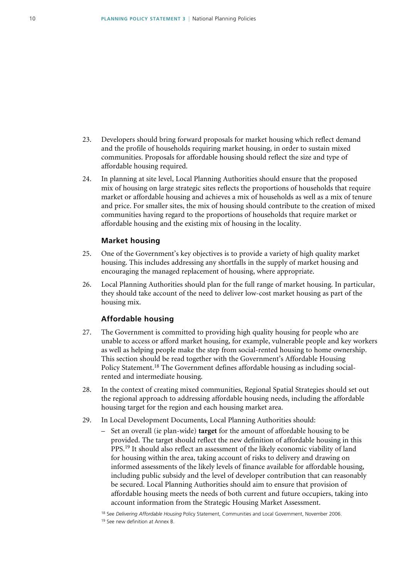- 23. Developers should bring forward proposals for market housing which reflect demand and the profile of households requiring market housing, in order to sustain mixed communities. Proposals for affordable housing should reflect the size and type of affordable housing required.
- 24. In planning at site level, Local Planning Authorities should ensure that the proposed mix of housing on large strategic sites reflects the proportions of households that require market or affordable housing and achieves a mix of households as well as a mix of tenure and price. For smaller sites, the mix of housing should contribute to the creation of mixed communities having regard to the proportions of households that require market or affordable housing and the existing mix of housing in the locality.

#### **Market housing**

- 25. One of the Government's key objectives is to provide a variety of high quality market housing. This includes addressing any shortfalls in the supply of market housing and encouraging the managed replacement of housing, where appropriate.
- 26. Local Planning Authorities should plan for the full range of market housing. In particular, they should take account of the need to deliver low-cost market housing as part of the housing mix.

### **Affordable housing**

- 27. The Government is committed to providing high quality housing for people who are unable to access or afford market housing, for example, vulnerable people and key workers as well as helping people make the step from social-rented housing to home ownership. This section should be read together with the Government's Affordable Housing Policy Statement.18 The Government defines affordable housing as including socialrented and intermediate housing.
- 28. In the context of creating mixed communities, Regional Spatial Strategies should set out the regional approach to addressing affordable housing needs, including the affordable housing target for the region and each housing market area.
- 29. In Local Development Documents, Local Planning Authorities should:
	- Set an overall (ie plan-wide) **target** for the amount of affordable housing to be provided. The target should reflect the new definition of affordable housing in this PPS.<sup>19</sup> It should also reflect an assessment of the likely economic viability of land for housing within the area, taking account of risks to delivery and drawing on informed assessments of the likely levels of finance available for affordable housing, including public subsidy and the level of developer contribution that can reasonably be secured. Local Planning Authorities should aim to ensure that provision of affordable housing meets the needs of both current and future occupiers, taking into account information from the Strategic Housing Market Assessment.

18 See *Delivering Affordable Housing* Policy Statement, Communities and Local Government, November 2006.

19 See new definition at Annex B.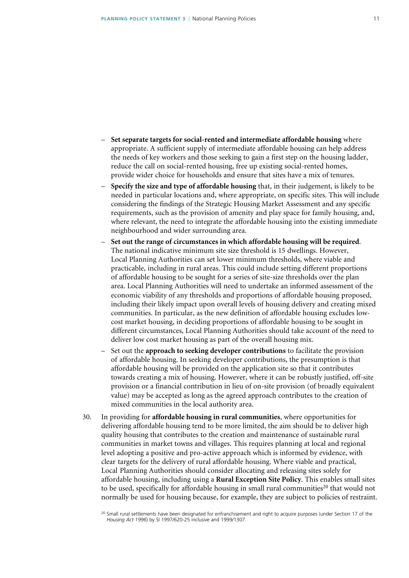- **Set separate targets for social-rented and intermediate affordable housing** where appropriate. A sufficient supply of intermediate affordable housing can help address the needs of key workers and those seeking to gain a first step on the housing ladder, reduce the call on social-rented housing, free up existing social-rented homes, provide wider choice for households and ensure that sites have a mix of tenures.
- **Specify the size and type of affordable housing** that, in their judgement, is likely to be needed in particular locations and, where appropriate, on specific sites. This will include considering the findings of the Strategic Housing Market Assessment and any specific requirements, such as the provision of amenity and play space for family housing, and, where relevant, the need to integrate the affordable housing into the existing immediate neighbourhood and wider surrounding area.
- **Set out the range of circumstances in which affordable housing will be required**. The national indicative minimum site size threshold is 15 dwellings. However, Local Planning Authorities can set lower minimum thresholds, where viable and practicable, including in rural areas. This could include setting different proportions of affordable housing to be sought for a series of site-size thresholds over the plan area. Local Planning Authorities will need to undertake an informed assessment of the economic viability of any thresholds and proportions of affordable housing proposed, including their likely impact upon overall levels of housing delivery and creating mixed communities. In particular, as the new definition of affordable housing excludes lowcost market housing, in deciding proportions of affordable housing to be sought in different circumstances, Local Planning Authorities should take account of the need to deliver low cost market housing as part of the overall housing mix.
- Set out the **approach to seeking developer contributions** to facilitate the provision of affordable housing. In seeking developer contributions, the presumption is that affordable housing will be provided on the application site so that it contributes towards creating a mix of housing. However, where it can be robustly justified, off-site provision or a financial contribution in lieu of on-site provision (of broadly equivalent value) may be accepted as long as the agreed approach contributes to the creation of mixed communities in the local authority area.
- 30. In providing for **affordable housing in rural communities**, where opportunities for delivering affordable housing tend to be more limited, the aim should be to deliver high quality housing that contributes to the creation and maintenance of sustainable rural communities in market towns and villages. This requires planning at local and regional level adopting a positive and pro-active approach which is informed by evidence, with clear targets for the delivery of rural affordable housing. Where viable and practical, Local Planning Authorities should consider allocating and releasing sites solely for affordable housing, including using a **Rural Exception Site Policy**. This enables small sites to be used, specifically for affordable housing in small rural communities<sup>20</sup> that would not normally be used for housing because, for example, they are subject to policies of restraint.

<sup>&</sup>lt;sup>20</sup> Small rural settlements have been designated for enfranchisement and right to acquire purposes (under Section 17 of the *Housing Act 1996*) by SI 1997/620-25 inclusive and 1999/1307.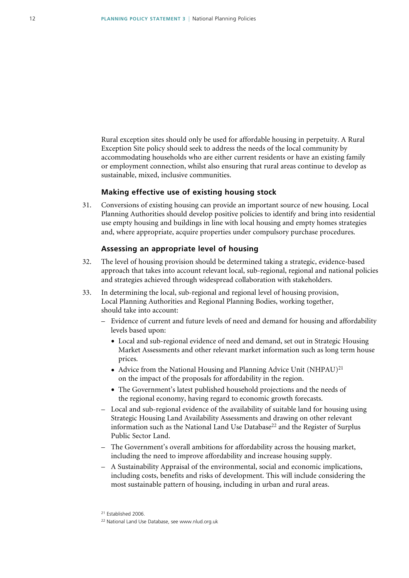Rural exception sites should only be used for affordable housing in perpetuity. A Rural Exception Site policy should seek to address the needs of the local community by accommodating households who are either current residents or have an existing family or employment connection, whilst also ensuring that rural areas continue to develop as sustainable, mixed, inclusive communities.

### **Making effective use of existing housing stock**

31. Conversions of existing housing can provide an important source of new housing. Local Planning Authorities should develop positive policies to identify and bring into residential use empty housing and buildings in line with local housing and empty homes strategies and, where appropriate, acquire properties under compulsory purchase procedures.

### **Assessing an appropriate level of housing**

- 32. The level of housing provision should be determined taking a strategic, evidence-based approach that takes into account relevant local, sub-regional, regional and national policies and strategies achieved through widespread collaboration with stakeholders.
- 33. In determining the local, sub-regional and regional level of housing provision, Local Planning Authorities and Regional Planning Bodies, working together, should take into account:
	- Evidence of current and future levels of need and demand for housing and affordability levels based upon:
		- Local and sub-regional evidence of need and demand, set out in Strategic Housing Market Assessments and other relevant market information such as long term house prices.
		- Advice from the National Housing and Planning Advice Unit  $(NHPAU)^{21}$ on the impact of the proposals for affordability in the region.
		- The Government's latest published household projections and the needs of the regional economy, having regard to economic growth forecasts.
	- Local and sub-regional evidence of the availability of suitable land for housing using Strategic Housing Land Availability Assessments and drawing on other relevant information such as the National Land Use Database<sup>22</sup> and the Register of Surplus Public Sector Land.
	- The Government's overall ambitions for affordability across the housing market, including the need to improve affordability and increase housing supply.
	- A Sustainability Appraisal of the environmental, social and economic implications, including costs, benefits and risks of development. This will include considering the most sustainable pattern of housing, including in urban and rural areas.

<sup>21</sup> Established 2006.

<sup>22</sup> National Land Use Database, see www.nlud.org.uk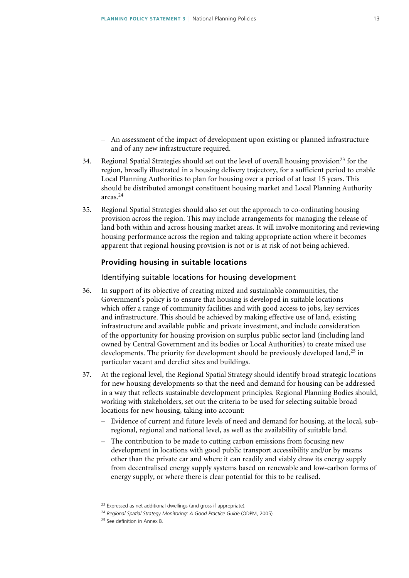- An assessment of the impact of development upon existing or planned infrastructure and of any new infrastructure required.
- 34. Regional Spatial Strategies should set out the level of overall housing provision<sup>23</sup> for the region, broadly illustrated in a housing delivery trajectory, for a sufficient period to enable Local Planning Authorities to plan for housing over a period of at least 15 years. This should be distributed amongst constituent housing market and Local Planning Authority areas.<sup>24</sup>
- 35. Regional Spatial Strategies should also set out the approach to co-ordinating housing provision across the region. This may include arrangements for managing the release of land both within and across housing market areas. It will involve monitoring and reviewing housing performance across the region and taking appropriate action where it becomes apparent that regional housing provision is not or is at risk of not being achieved.

### **Providing housing in suitable locations**

### Identifying suitable locations for housing development

- 36. In support of its objective of creating mixed and sustainable communities, the Government's policy is to ensure that housing is developed in suitable locations which offer a range of community facilities and with good access to jobs, key services and infrastructure. This should be achieved by making effective use of land, existing infrastructure and available public and private investment, and include consideration of the opportunity for housing provision on surplus public sector land (including land owned by Central Government and its bodies or Local Authorities) to create mixed use developments. The priority for development should be previously developed land,<sup>25</sup> in particular vacant and derelict sites and buildings.
- 37. At the regional level, the Regional Spatial Strategy should identify broad strategic locations for new housing developments so that the need and demand for housing can be addressed in a way that reflects sustainable development principles. Regional Planning Bodies should, working with stakeholders, set out the criteria to be used for selecting suitable broad locations for new housing, taking into account:
	- Evidence of current and future levels of need and demand for housing, at the local, subregional, regional and national level, as well as the availability of suitable land.
	- The contribution to be made to cutting carbon emissions from focusing new development in locations with good public transport accessibility and/or by means other than the private car and where it can readily and viably draw its energy supply from decentralised energy supply systems based on renewable and low-carbon forms of energy supply, or where there is clear potential for this to be realised.

<sup>&</sup>lt;sup>23</sup> Expressed as net additional dwellings (and gross if appropriate).

<sup>24</sup> *Regional Spatial Strategy Monitoring: A Good Practice Guide* (ODPM, 2005).

<sup>25</sup> See definition in Annex B.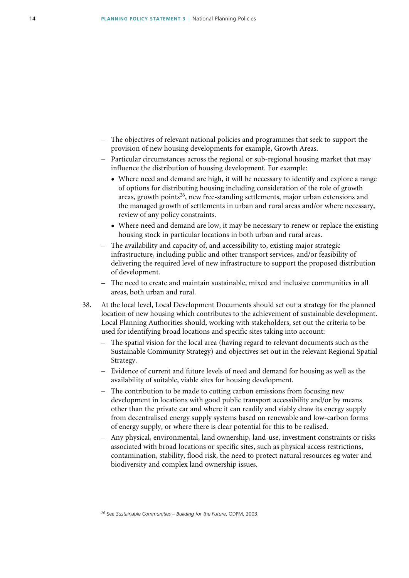- The objectives of relevant national policies and programmes that seek to support the provision of new housing developments for example, Growth Areas.
- Particular circumstances across the regional or sub-regional housing market that may influence the distribution of housing development. For example:
	- Where need and demand are high, it will be necessary to identify and explore a range of options for distributing housing including consideration of the role of growth areas, growth points<sup>26</sup>, new free-standing settlements, major urban extensions and the managed growth of settlements in urban and rural areas and/or where necessary, review of any policy constraints.
	- Where need and demand are low, it may be necessary to renew or replace the existing housing stock in particular locations in both urban and rural areas.
- The availability and capacity of, and accessibility to, existing major strategic infrastructure, including public and other transport services, and/or feasibility of delivering the required level of new infrastructure to support the proposed distribution of development.
- The need to create and maintain sustainable, mixed and inclusive communities in all areas, both urban and rural.
- 38. At the local level, Local Development Documents should set out a strategy for the planned location of new housing which contributes to the achievement of sustainable development. Local Planning Authorities should, working with stakeholders, set out the criteria to be used for identifying broad locations and specific sites taking into account:
	- The spatial vision for the local area (having regard to relevant documents such as the Sustainable Community Strategy) and objectives set out in the relevant Regional Spatial Strategy.
	- Evidence of current and future levels of need and demand for housing as well as the availability of suitable, viable sites for housing development.
	- The contribution to be made to cutting carbon emissions from focusing new development in locations with good public transport accessibility and/or by means other than the private car and where it can readily and viably draw its energy supply from decentralised energy supply systems based on renewable and low-carbon forms of energy supply, or where there is clear potential for this to be realised.
	- Any physical, environmental, land ownership, land-use, investment constraints or risks associated with broad locations or specific sites, such as physical access restrictions, contamination, stability, flood risk, the need to protect natural resources eg water and biodiversity and complex land ownership issues.

<sup>26</sup> See *Sustainable Communities – Building for the Future*, ODPM, 2003.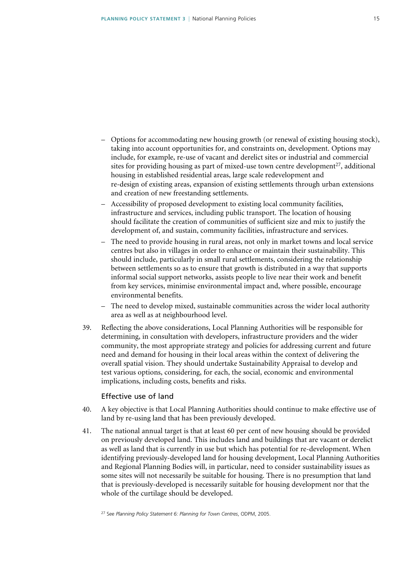- Options for accommodating new housing growth (or renewal of existing housing stock), taking into account opportunities for, and constraints on, development. Options may include, for example, re-use of vacant and derelict sites or industrial and commercial sites for providing housing as part of mixed-use town centre development<sup>27</sup>, additional housing in established residential areas, large scale redevelopment and re-design of existing areas, expansion of existing settlements through urban extensions and creation of new freestanding settlements.
- Accessibility of proposed development to existing local community facilities, infrastructure and services, including public transport. The location of housing should facilitate the creation of communities of sufficient size and mix to justify the development of, and sustain, community facilities, infrastructure and services.
- The need to provide housing in rural areas, not only in market towns and local service centres but also in villages in order to enhance or maintain their sustainability. This should include, particularly in small rural settlements, considering the relationship between settlements so as to ensure that growth is distributed in a way that supports informal social support networks, assists people to live near their work and benefit from key services, minimise environmental impact and, where possible, encourage environmental benefits.
- The need to develop mixed, sustainable communities across the wider local authority area as well as at neighbourhood level.
- 39. Reflecting the above considerations, Local Planning Authorities will be responsible for determining, in consultation with developers, infrastructure providers and the wider community, the most appropriate strategy and policies for addressing current and future need and demand for housing in their local areas within the context of delivering the overall spatial vision. They should undertake Sustainability Appraisal to develop and test various options, considering, for each, the social, economic and environmental implications, including costs, benefits and risks.

### Effective use of land

- 40. A key objective is that Local Planning Authorities should continue to make effective use of land by re-using land that has been previously developed.
- 41. The national annual target is that at least 60 per cent of new housing should be provided on previously developed land. This includes land and buildings that are vacant or derelict as well as land that is currently in use but which has potential for re-development. When identifying previously-developed land for housing development, Local Planning Authorities and Regional Planning Bodies will, in particular, need to consider sustainability issues as some sites will not necessarily be suitable for housing. There is no presumption that land that is previously-developed is necessarily suitable for housing development nor that the whole of the curtilage should be developed.

27 See *Planning Policy Statement 6: Planning for Town Centres*, ODPM, 2005.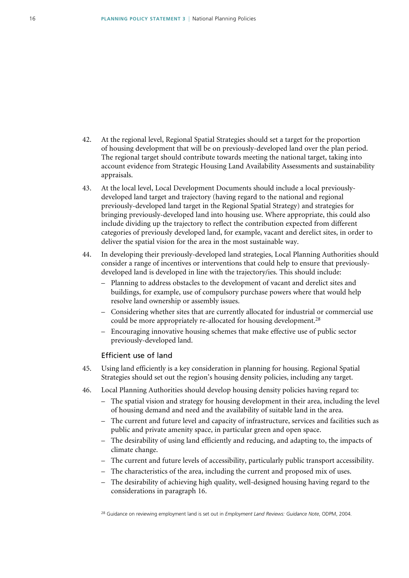- 42. At the regional level, Regional Spatial Strategies should set a target for the proportion of housing development that will be on previously-developed land over the plan period. The regional target should contribute towards meeting the national target, taking into account evidence from Strategic Housing Land Availability Assessments and sustainability appraisals.
- 43. At the local level, Local Development Documents should include a local previouslydeveloped land target and trajectory (having regard to the national and regional previously-developed land target in the Regional Spatial Strategy) and strategies for bringing previously-developed land into housing use. Where appropriate, this could also include dividing up the trajectory to reflect the contribution expected from different categories of previously developed land, for example, vacant and derelict sites, in order to deliver the spatial vision for the area in the most sustainable way.
- 44. In developing their previously-developed land strategies, Local Planning Authorities should consider a range of incentives or interventions that could help to ensure that previouslydeveloped land is developed in line with the trajectory/ies. This should include:
	- Planning to address obstacles to the development of vacant and derelict sites and buildings, for example, use of compulsory purchase powers where that would help resolve land ownership or assembly issues.
	- Considering whether sites that are currently allocated for industrial or commercial use could be more appropriately re-allocated for housing development.<sup>28</sup>
	- Encouraging innovative housing schemes that make effective use of public sector previously-developed land.

### Efficient use of land

- 45. Using land efficiently is a key consideration in planning for housing. Regional Spatial Strategies should set out the region's housing density policies, including any target.
- 46. Local Planning Authorities should develop housing density policies having regard to:
	- The spatial vision and strategy for housing development in their area, including the level of housing demand and need and the availability of suitable land in the area.
	- The current and future level and capacity of infrastructure, services and facilities such as public and private amenity space, in particular green and open space.
	- The desirability of using land efficiently and reducing, and adapting to, the impacts of climate change.
	- The current and future levels of accessibility, particularly public transport accessibility.
	- The characteristics of the area, including the current and proposed mix of uses.
	- The desirability of achieving high quality, well-designed housing having regard to the considerations in paragraph 16.

28 Guidance on reviewing employment land is set out in *Employment Land Reviews: Guidance Note*, ODPM, 2004.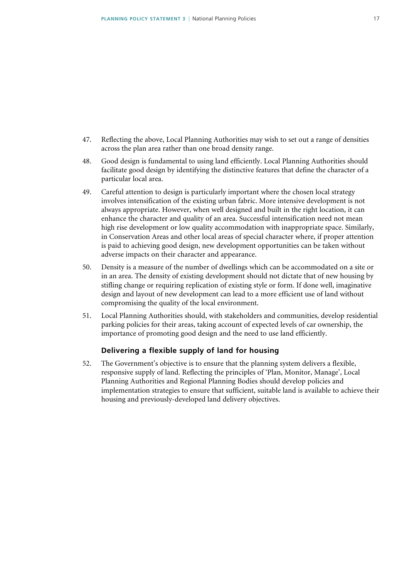- 47. Reflecting the above, Local Planning Authorities may wish to set out a range of densities across the plan area rather than one broad density range.
- 48. Good design is fundamental to using land efficiently. Local Planning Authorities should facilitate good design by identifying the distinctive features that define the character of a particular local area.
- 49. Careful attention to design is particularly important where the chosen local strategy involves intensification of the existing urban fabric. More intensive development is not always appropriate. However, when well designed and built in the right location, it can enhance the character and quality of an area. Successful intensification need not mean high rise development or low quality accommodation with inappropriate space. Similarly, in Conservation Areas and other local areas of special character where, if proper attention is paid to achieving good design, new development opportunities can be taken without adverse impacts on their character and appearance.
- 50. Density is a measure of the number of dwellings which can be accommodated on a site or in an area. The density of existing development should not dictate that of new housing by stifling change or requiring replication of existing style or form. If done well, imaginative design and layout of new development can lead to a more efficient use of land without compromising the quality of the local environment.
- 51. Local Planning Authorities should, with stakeholders and communities, develop residential parking policies for their areas, taking account of expected levels of car ownership, the importance of promoting good design and the need to use land efficiently.

### **Delivering a flexible supply of land for housing**

52. The Government's objective is to ensure that the planning system delivers a flexible, responsive supply of land. Reflecting the principles of 'Plan, Monitor, Manage', Local Planning Authorities and Regional Planning Bodies should develop policies and implementation strategies to ensure that sufficient, suitable land is available to achieve their housing and previously-developed land delivery objectives.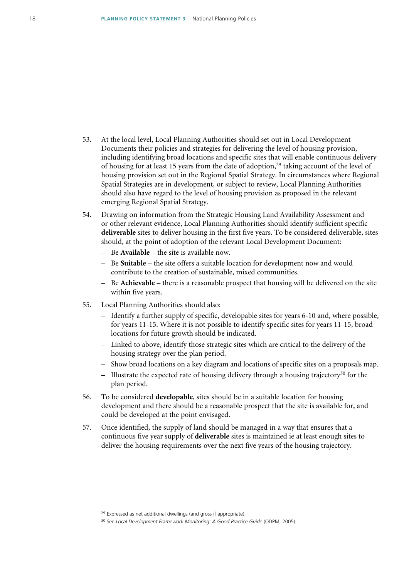- 53. At the local level, Local Planning Authorities should set out in Local Development Documents their policies and strategies for delivering the level of housing provision, including identifying broad locations and specific sites that will enable continuous delivery of housing for at least 15 years from the date of adoption,<sup>29</sup> taking account of the level of housing provision set out in the Regional Spatial Strategy. In circumstances where Regional Spatial Strategies are in development, or subject to review, Local Planning Authorities should also have regard to the level of housing provision as proposed in the relevant emerging Regional Spatial Strategy.
- 54. Drawing on information from the Strategic Housing Land Availability Assessment and or other relevant evidence, Local Planning Authorities should identify sufficient specific **deliverable** sites to deliver housing in the first five years. To be considered deliverable, sites should, at the point of adoption of the relevant Local Development Document:
	- Be **Available** the site is available now.
	- Be **Suitable** the site offers a suitable location for development now and would contribute to the creation of sustainable, mixed communities.
	- Be **Achievable** there is a reasonable prospect that housing will be delivered on the site within five years.
- 55. Local Planning Authorities should also:
	- Identify a further supply of specific, developable sites for years 6-10 and, where possible, for years 11-15. Where it is not possible to identify specific sites for years 11-15, broad locations for future growth should be indicated.
	- Linked to above, identify those strategic sites which are critical to the delivery of the housing strategy over the plan period.
	- Show broad locations on a key diagram and locations of specific sites on a proposals map.
	- Illustrate the expected rate of housing delivery through a housing trajectory<sup>30</sup> for the plan period.
- 56. To be considered **developable**, sites should be in a suitable location for housing development and there should be a reasonable prospect that the site is available for, and could be developed at the point envisaged.
- 57. Once identified, the supply of land should be managed in a way that ensures that a continuous five year supply of **deliverable** sites is maintained ie at least enough sites to deliver the housing requirements over the next five years of the housing trajectory.

<sup>&</sup>lt;sup>29</sup> Expressed as net additional dwellings (and gross if appropriate).

<sup>30</sup> See *Local Development Framework Monitoring: A Good Practice Guide* (ODPM, 2005).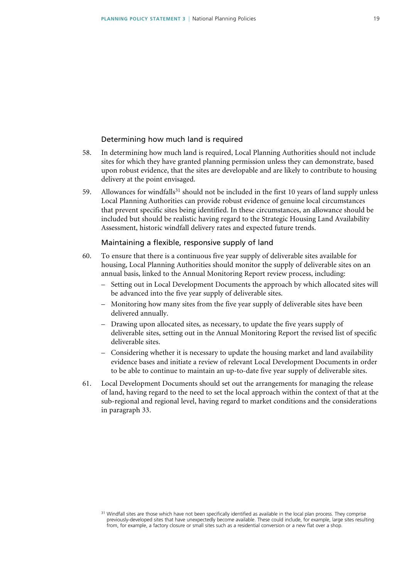### Determining how much land is required

- 58. In determining how much land is required, Local Planning Authorities should not include sites for which they have granted planning permission unless they can demonstrate, based upon robust evidence, that the sites are developable and are likely to contribute to housing delivery at the point envisaged.
- 59. Allowances for windfalls<sup>31</sup> should not be included in the first 10 years of land supply unless Local Planning Authorities can provide robust evidence of genuine local circumstances that prevent specific sites being identified. In these circumstances, an allowance should be included but should be realistic having regard to the Strategic Housing Land Availability Assessment, historic windfall delivery rates and expected future trends.

#### Maintaining a flexible, responsive supply of land

- 60. To ensure that there is a continuous five year supply of deliverable sites available for housing, Local Planning Authorities should monitor the supply of deliverable sites on an annual basis, linked to the Annual Monitoring Report review process, including:
	- Setting out in Local Development Documents the approach by which allocated sites will be advanced into the five year supply of deliverable sites.
	- Monitoring how many sites from the five year supply of deliverable sites have been delivered annually.
	- Drawing upon allocated sites, as necessary, to update the five years supply of deliverable sites, setting out in the Annual Monitoring Report the revised list of specific deliverable sites.
	- Considering whether it is necessary to update the housing market and land availability evidence bases and initiate a review of relevant Local Development Documents in order to be able to continue to maintain an up-to-date five year supply of deliverable sites.
- 61. Local Development Documents should set out the arrangements for managing the release of land, having regard to the need to set the local approach within the context of that at the sub-regional and regional level, having regard to market conditions and the considerations in paragraph 33.

<sup>&</sup>lt;sup>31</sup> Windfall sites are those which have not been specifically identified as available in the local plan process. They comprise previously-developed sites that have unexpectedly become available. These could include, for example, large sites resulting from, for example, a factory closure or small sites such as a residential conversion or a new flat over a shop.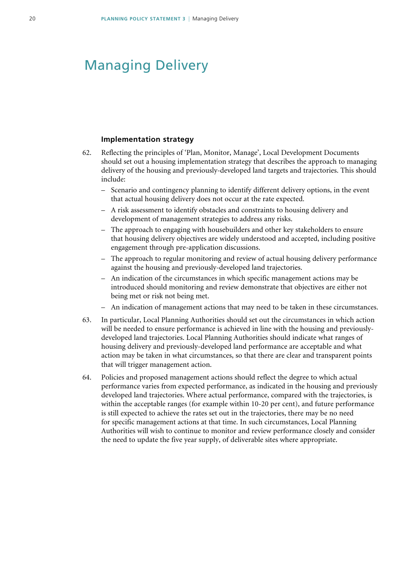# <span id="page-19-0"></span>Managing Delivery

### **Implementation strategy**

- 62. Reflecting the principles of 'Plan, Monitor, Manage', Local Development Documents should set out a housing implementation strategy that describes the approach to managing delivery of the housing and previously-developed land targets and trajectories. This should include:
	- Scenario and contingency planning to identify different delivery options, in the event that actual housing delivery does not occur at the rate expected.
	- A risk assessment to identify obstacles and constraints to housing delivery and development of management strategies to address any risks.
	- The approach to engaging with housebuilders and other key stakeholders to ensure that housing delivery objectives are widely understood and accepted, including positive engagement through pre-application discussions.
	- The approach to regular monitoring and review of actual housing delivery performance against the housing and previously-developed land trajectories.
	- An indication of the circumstances in which specific management actions may be introduced should monitoring and review demonstrate that objectives are either not being met or risk not being met.
	- An indication of management actions that may need to be taken in these circumstances.
- 63. In particular, Local Planning Authorities should set out the circumstances in which action will be needed to ensure performance is achieved in line with the housing and previouslydeveloped land trajectories. Local Planning Authorities should indicate what ranges of housing delivery and previously-developed land performance are acceptable and what action may be taken in what circumstances, so that there are clear and transparent points that will trigger management action.
- 64. Policies and proposed management actions should reflect the degree to which actual performance varies from expected performance, as indicated in the housing and previously developed land trajectories. Where actual performance, compared with the trajectories, is within the acceptable ranges (for example within 10-20 per cent), and future performance is still expected to achieve the rates set out in the trajectories, there may be no need for specific management actions at that time. In such circumstances, Local Planning Authorities will wish to continue to monitor and review performance closely and consider the need to update the five year supply, of deliverable sites where appropriate.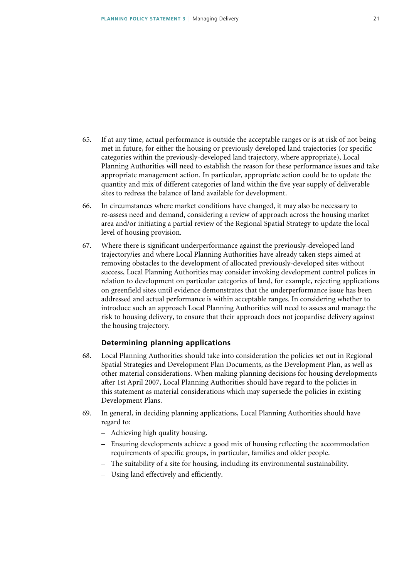- 65. If at any time, actual performance is outside the acceptable ranges or is at risk of not being met in future, for either the housing or previously developed land trajectories (or specific categories within the previously-developed land trajectory, where appropriate), Local Planning Authorities will need to establish the reason for these performance issues and take appropriate management action. In particular, appropriate action could be to update the quantity and mix of different categories of land within the five year supply of deliverable sites to redress the balance of land available for development.
- 66. In circumstances where market conditions have changed, it may also be necessary to re-assess need and demand, considering a review of approach across the housing market area and/or initiating a partial review of the Regional Spatial Strategy to update the local level of housing provision.
- 67. Where there is significant underperformance against the previously-developed land trajectory/ies and where Local Planning Authorities have already taken steps aimed at removing obstacles to the development of allocated previously-developed sites without success, Local Planning Authorities may consider invoking development control polices in relation to development on particular categories of land, for example, rejecting applications on greenfield sites until evidence demonstrates that the underperformance issue has been addressed and actual performance is within acceptable ranges. In considering whether to introduce such an approach Local Planning Authorities will need to assess and manage the risk to housing delivery, to ensure that their approach does not jeopardise delivery against the housing trajectory.

### **Determining planning applications**

- 68. Local Planning Authorities should take into consideration the policies set out in Regional Spatial Strategies and Development Plan Documents, as the Development Plan, as well as other material considerations. When making planning decisions for housing developments after 1st April 2007, Local Planning Authorities should have regard to the policies in this statement as material considerations which may supersede the policies in existing Development Plans.
- 69. In general, in deciding planning applications, Local Planning Authorities should have regard to:
	- Achieving high quality housing.
	- Ensuring developments achieve a good mix of housing reflecting the accommodation requirements of specific groups, in particular, families and older people.
	- The suitability of a site for housing, including its environmental sustainability.
	- Using land effectively and efficiently.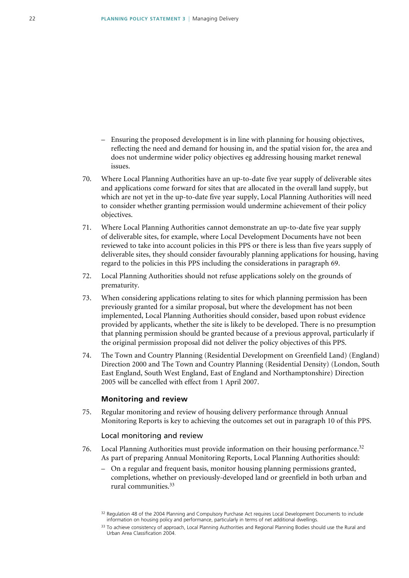- Ensuring the proposed development is in line with planning for housing objectives, reflecting the need and demand for housing in, and the spatial vision for, the area and does not undermine wider policy objectives eg addressing housing market renewal issues.
- 70. Where Local Planning Authorities have an up-to-date five year supply of deliverable sites and applications come forward for sites that are allocated in the overall land supply, but which are not yet in the up-to-date five year supply, Local Planning Authorities will need to consider whether granting permission would undermine achievement of their policy objectives.
- 71. Where Local Planning Authorities cannot demonstrate an up-to-date five year supply of deliverable sites, for example, where Local Development Documents have not been reviewed to take into account policies in this PPS or there is less than five years supply of deliverable sites, they should consider favourably planning applications for housing, having regard to the policies in this PPS including the considerations in paragraph 69.
- 72. Local Planning Authorities should not refuse applications solely on the grounds of prematurity.
- 73. When considering applications relating to sites for which planning permission has been previously granted for a similar proposal, but where the development has not been implemented, Local Planning Authorities should consider, based upon robust evidence provided by applicants, whether the site is likely to be developed. There is no presumption that planning permission should be granted because of a previous approval, particularly if the original permission proposal did not deliver the policy objectives of this PPS.
- 74. The Town and Country Planning (Residential Development on Greenfield Land) (England) Direction 2000 and The Town and Country Planning (Residential Density) (London, South East England, South West England, East of England and Northamptonshire) Direction 2005 will be cancelled with effect from 1 April 2007.

#### **Monitoring and review**

75. Regular monitoring and review of housing delivery performance through Annual Monitoring Reports is key to achieving the outcomes set out in paragraph 10 of this PPS.

### Local monitoring and review

- 76. Local Planning Authorities must provide information on their housing performance.<sup>32</sup> As part of preparing Annual Monitoring Reports, Local Planning Authorities should:
	- On a regular and frequent basis, monitor housing planning permissions granted, completions, whether on previously-developed land or greenfield in both urban and rural communities.33

<sup>&</sup>lt;sup>32</sup> Regulation 48 of the 2004 Planning and Compulsory Purchase Act requires Local Development Documents to include information on housing policy and performance, particularly in terms of net additional dwellings.

<sup>33</sup> To achieve consistency of approach, Local Planning Authorities and Regional Planning Bodies should use the Rural and Urban Area Classification 2004.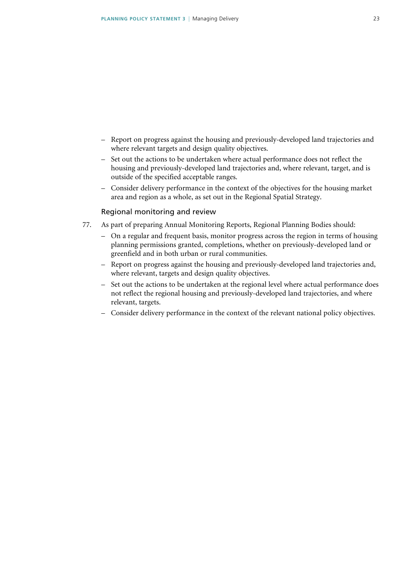- Report on progress against the housing and previously-developed land trajectories and where relevant targets and design quality objectives.
- Set out the actions to be undertaken where actual performance does not reflect the housing and previously-developed land trajectories and, where relevant, target, and is outside of the specified acceptable ranges.
- Consider delivery performance in the context of the objectives for the housing market area and region as a whole, as set out in the Regional Spatial Strategy.

### Regional monitoring and review

- 77. As part of preparing Annual Monitoring Reports, Regional Planning Bodies should:
	- On a regular and frequent basis, monitor progress across the region in terms of housing planning permissions granted, completions, whether on previously-developed land or greenfield and in both urban or rural communities.
	- Report on progress against the housing and previously-developed land trajectories and, where relevant, targets and design quality objectives.
	- Set out the actions to be undertaken at the regional level where actual performance does not reflect the regional housing and previously-developed land trajectories, and where relevant, targets.
	- Consider delivery performance in the context of the relevant national policy objectives.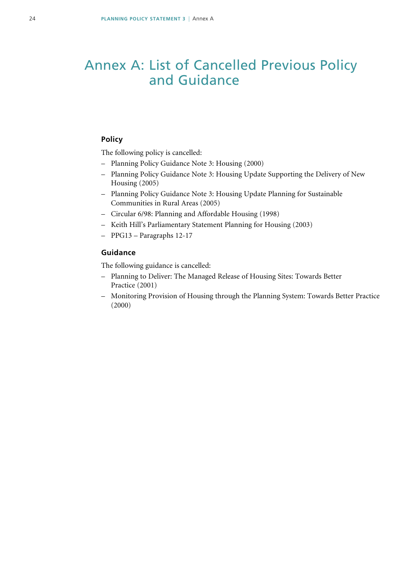# <span id="page-23-0"></span>Annex A: List of Cancelled Previous Policy and Guidance

### **Policy**

The following policy is cancelled:

- Planning Policy Guidance Note 3: Housing (2000)
- Planning Policy Guidance Note 3: Housing Update Supporting the Delivery of New Housing (2005)
- Planning Policy Guidance Note 3: Housing Update Planning for Sustainable Communities in Rural Areas (2005)
- Circular 6/98: Planning and Affordable Housing (1998)
- Keith Hill's Parliamentary Statement Planning for Housing (2003)
- PPG13 Paragraphs 12-17

### **Guidance**

The following guidance is cancelled:

- Planning to Deliver: The Managed Release of Housing Sites: Towards Better Practice (2001)
- Monitoring Provision of Housing through the Planning System: Towards Better Practice (2000)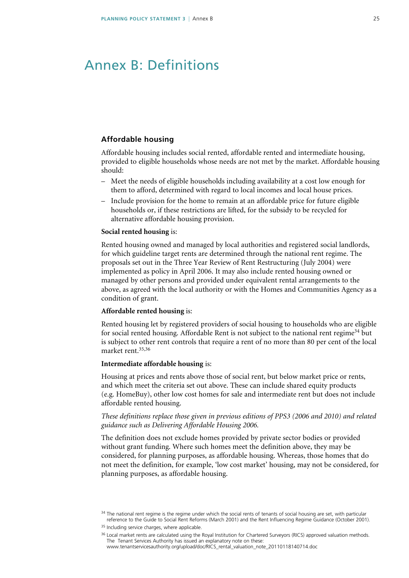### <span id="page-24-0"></span>Annex B: Definitions

### **Affordable housing**

 Affordable housing includes social rented, affordable rented and intermediate housing, provided to eligible households whose needs are not met by the market. Affordable housing should:

- Meet the needs of eligible households including availability at a cost low enough for them to afford, determined with regard to local incomes and local house prices.
- Include provision for the home to remain at an affordable price for future eligible households or, if these restrictions are lifted, for the subsidy to be recycled for alternative affordable housing provision.

#### **Social rented housing** is:

Rented housing owned and managed by local authorities and registered social landlords, for which guideline target rents are determined through the national rent regime. The proposals set out in the Three Year Review of Rent Restructuring (July 2004) were implemented as policy in April 2006. It may also include rented housing owned or managed by other persons and provided under equivalent rental arrangements to the above, as agreed with the local authority or with the Homes and Communities Agency as a condition of grant.

### **Affordable rented housing** is:

Rented housing let by registered providers of social housing to households who are eligible for social rented housing. Affordable Rent is not subject to the national rent regime<sup>34</sup> but is subject to other rent controls that require a rent of no more than 80 per cent of the local market rent.35,36

#### **Intermediate affordable housing** is:

Housing at prices and rents above those of social rent, but below market price or rents, and which meet the criteria set out above. These can include shared equity products (e.g. HomeBuy), other low cost homes for sale and intermediate rent but does not include affordable rented housing.

### *These definitions replace those given in previous editions of PPS3 (2006 and 2010) and related guidance such as Delivering Affordable Housing 2006.*

The definition does not exclude homes provided by private sector bodies or provided without grant funding. Where such homes meet the definition above, they may be considered, for planning purposes, as affordable housing. Whereas, those homes that do not meet the definition, for example, 'low cost market' housing, may not be considered, for planning purposes, as affordable housing.

<sup>36</sup> Local market rents are calculated using the Royal Institution for Chartered Surveyors (RICS) approved valuation methods. The Tenant Services Authority has issued an explanatory note on these: [www.tenantservicesauthority.org/upload/doc/RICS\\_rental\\_valuation\\_note\\_20110118140714.doc](http://www.tenantservicesauthority.org/upload/doc/RICS_rental_valuation_note_20110118140714.doc)

<sup>&</sup>lt;sup>34</sup> The national rent regime is the regime under which the social rents of tenants of social housing are set, with particular reference to the Guide to Social Rent Reforms (March 2001) and the Rent Influencing Regime Guidance (October 2001).

<sup>&</sup>lt;sup>35</sup> Including service charges, where applicable.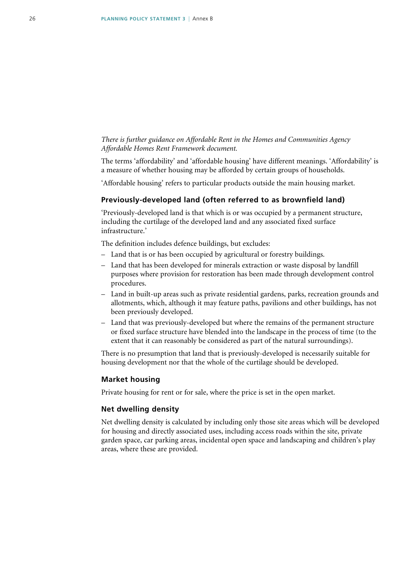### *There is further guidance on Affordable Rent in the Homes and Communities Agency Affordable Homes Rent Framework document.*

The terms 'affordability' and 'affordable housing' have different meanings. 'Affordability' is a measure of whether housing may be afforded by certain groups of households.

'Affordable housing' refers to particular products outside the main housing market.

### **Previously-developed land (often referred to as brownfield land)**

'Previously-developed land is that which is or was occupied by a permanent structure, including the curtilage of the developed land and any associated fixed surface infrastructure.'

The definition includes defence buildings, but excludes:

- Land that is or has been occupied by agricultural or forestry buildings.
- Land that has been developed for minerals extraction or waste disposal by landfill purposes where provision for restoration has been made through development control procedures.
- Land in built-up areas such as private residential gardens, parks, recreation grounds and allotments, which, although it may feature paths, pavilions and other buildings, has not been previously developed.
- Land that was previously-developed but where the remains of the permanent structure or fixed surface structure have blended into the landscape in the process of time (to the extent that it can reasonably be considered as part of the natural surroundings).

There is no presumption that land that is previously-developed is necessarily suitable for housing development nor that the whole of the curtilage should be developed.

#### **Market housing**

Private housing for rent or for sale, where the price is set in the open market.

### **Net dwelling density**

Net dwelling density is calculated by including only those site areas which will be developed for housing and directly associated uses, including access roads within the site, private garden space, car parking areas, incidental open space and landscaping and children's play areas, where these are provided.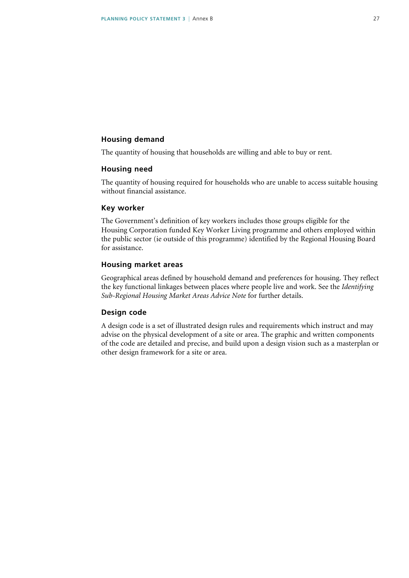### **Housing demand**

The quantity of housing that households are willing and able to buy or rent.

### **Housing need**

The quantity of housing required for households who are unable to access suitable housing without financial assistance.

### **Key worker**

The Government's definition of key workers includes those groups eligible for the Housing Corporation funded Key Worker Living programme and others employed within the public sector (ie outside of this programme) identified by the Regional Housing Board for assistance.

### **Housing market areas**

Geographical areas defined by household demand and preferences for housing. They reflect the key functional linkages between places where people live and work. See the *Identifying Sub-Regional Housing Market Areas Advice Note* for further details.

### **Design code**

A design code is a set of illustrated design rules and requirements which instruct and may advise on the physical development of a site or area. The graphic and written components of the code are detailed and precise, and build upon a design vision such as a masterplan or other design framework for a site or area.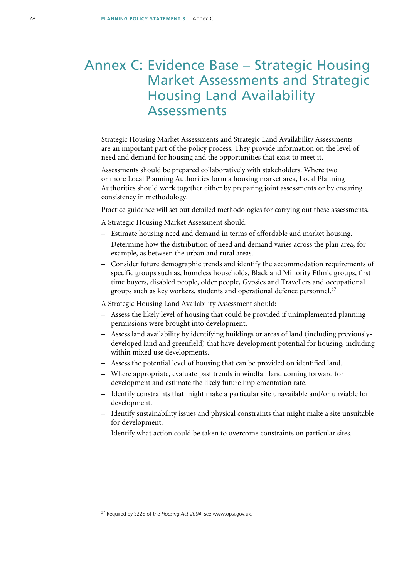### <span id="page-27-0"></span>Annex C: Evidence Base – Strategic Housing Market Assessments and Strategic Housing Land Availability Assessments

Strategic Housing Market Assessments and Strategic Land Availability Assessments are an important part of the policy process. They provide information on the level of need and demand for housing and the opportunities that exist to meet it.

Assessments should be prepared collaboratively with stakeholders. Where two or more Local Planning Authorities form a housing market area, Local Planning Authorities should work together either by preparing joint assessments or by ensuring consistency in methodology.

Practice guidance will set out detailed methodologies for carrying out these assessments.

A Strategic Housing Market Assessment should:

- Estimate housing need and demand in terms of affordable and market housing.
- Determine how the distribution of need and demand varies across the plan area, for example, as between the urban and rural areas.
- Consider future demographic trends and identify the accommodation requirements of specific groups such as, homeless households, Black and Minority Ethnic groups, first time buyers, disabled people, older people, Gypsies and Travellers and occupational groups such as key workers, students and operational defence personnel.<sup>37</sup>

A Strategic Housing Land Availability Assessment should:

- Assess the likely level of housing that could be provided if unimplemented planning permissions were brought into development.
- Assess land availability by identifying buildings or areas of land (including previouslydeveloped land and greenfield) that have development potential for housing, including within mixed use developments.
- Assess the potential level of housing that can be provided on identified land.
- Where appropriate, evaluate past trends in windfall land coming forward for development and estimate the likely future implementation rate.
- Identify constraints that might make a particular site unavailable and/or unviable for development.
- Identify sustainability issues and physical constraints that might make a site unsuitable for development.
- Identify what action could be taken to overcome constraints on particular sites.

<sup>37</sup> Required by S225 of the *Housing Act 2004*, see www.opsi.gov.uk.